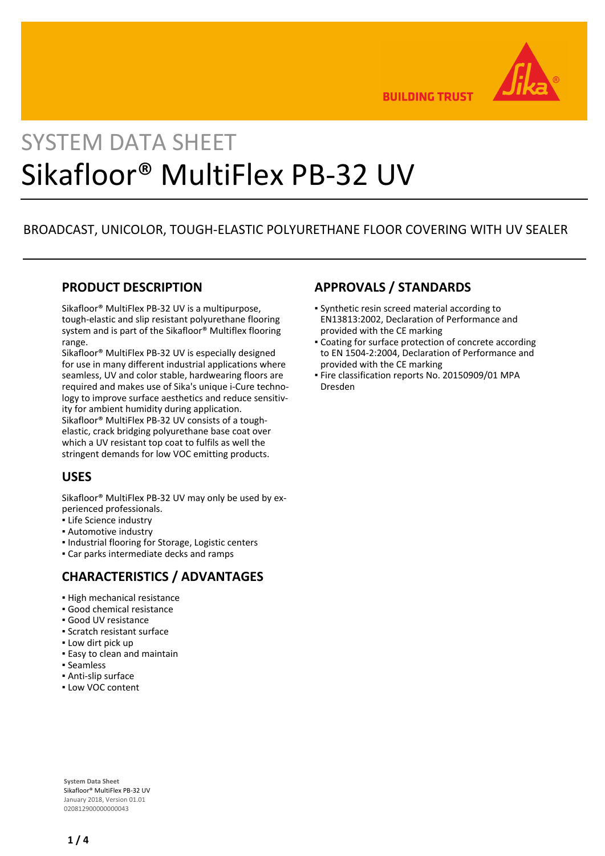

**BUILDING TRUST** 

# SYSTEM DATA SHEET Sikafloor® MultiFlex PB-32 UV

# BROADCAST, UNICOLOR, TOUGH-ELASTIC POLYURETHANE FLOOR COVERING WITH UV SEALER

## **PRODUCT DESCRIPTION**

Sikafloor® MultiFlex PB-32 UV is a multipurpose, tough-elastic and slip resistant polyurethane flooring system and is part of the Sikafloor® Multiflex flooring range.

Sikafloor® MultiFlex PB-32 UV is especially designed for use in many different industrial applications where seamless, UV and color stable, hardwearing floors are required and makes use of Sika's unique i-Cure technology to improve surface aesthetics and reduce sensitivity for ambient humidity during application. Sikafloor® MultiFlex PB-32 UV consists of a toughelastic, crack bridging polyurethane base coat over

which a UV resistant top coat to fulfils as well the stringent demands for low VOC emitting products.

# **USES**

Sikafloor® MultiFlex PB-32 UV may only be used by experienced professionals.

- **.** Life Science industry
- Automotive industry
- **.** Industrial flooring for Storage, Logistic centers
- Car parks intermediate decks and ramps

# **CHARACTERISTICS / ADVANTAGES**

- **.** High mechanical resistance
- Good chemical resistance
- Good UV resistance
- Scratch resistant surface
- **.** Low dirt pick up
- **Easy to clean and maintain**
- Seamless
- Anti-slip surface
- Low VOC content

# **APPROVALS / STANDARDS**

- Synthetic resin screed material according to EN13813:2002, Declaration of Performance and provided with the CE marking
- Coating for surface protection of concrete according to EN 1504-2:2004, Declaration of Performance and provided with the CE marking
- **Fire classification reports No. 20150909/01 MPA** Dresden

**System Data Sheet** Sikafloor® MultiFlex PB-32 UV January 2018, Version 01.01 020812900000000043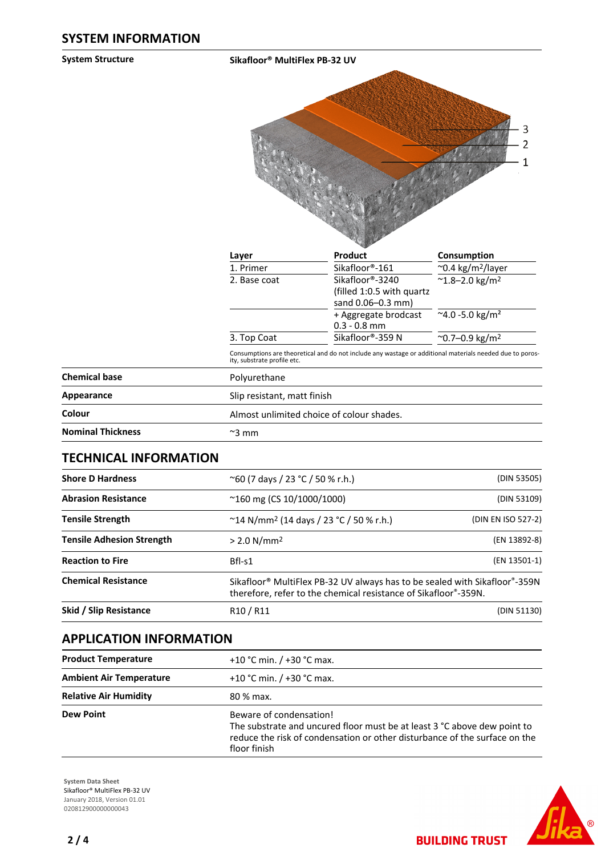**System Structure Sikafloor® MultiFlex PB-32 UV**



| Layer        | ัชช<br>Product                                              | Consumption                          |
|--------------|-------------------------------------------------------------|--------------------------------------|
| 1. Primer    | Sikafloor®-161                                              | $\sim$ 0.4 kg/m <sup>2</sup> /layer  |
| 2. Base coat | Sikafloor®-3240<br>(filled 1:0.5 with quartz                | $^{\sim}$ 1.8-2.0 kg/m <sup>2</sup>  |
|              | sand 0.06-0.3 mm)<br>+ Aggregate brodcast<br>$0.3 - 0.8$ mm | $^{\sim}$ 4.0 -5.0 kg/m <sup>2</sup> |
| 3. Top Coat  | Sikafloor®-359 N                                            | $^{\sim}$ 0.7–0.9 kg/m <sup>2</sup>  |

Consumptions are theoretical and do not include any wastage or additional materials needed due to poros-ity, substrate profile etc.

| <b>Chemical base</b>     | Polyurethane                              |  |
|--------------------------|-------------------------------------------|--|
| Appearance               | Slip resistant, matt finish               |  |
| Colour                   | Almost unlimited choice of colour shades. |  |
| <b>Nominal Thickness</b> | $\approx$ 3 mm                            |  |

#### **TECHNICAL INFORMATION**

| <b>Shore D Hardness</b>          | $^{\sim}$ 60 (7 days / 23 °C / 50 % r.h.)                                                                                                                              | (DIN 53505)        |  |
|----------------------------------|------------------------------------------------------------------------------------------------------------------------------------------------------------------------|--------------------|--|
| <b>Abrasion Resistance</b>       | $^{\sim}160$ mg (CS 10/1000/1000)                                                                                                                                      | (DIN 53109)        |  |
| <b>Tensile Strength</b>          | $\degree$ 14 N/mm <sup>2</sup> (14 days / 23 $\degree$ C / 50 % r.h.)                                                                                                  | (DIN EN ISO 527-2) |  |
| <b>Tensile Adhesion Strength</b> | $> 2.0$ N/mm <sup>2</sup>                                                                                                                                              | (EN 13892-8)       |  |
| <b>Reaction to Fire</b>          | $Bfl-S1$                                                                                                                                                               | (EN 13501-1)       |  |
| <b>Chemical Resistance</b>       | Sikafloor <sup>®</sup> MultiFlex PB-32 UV always has to be sealed with Sikafloor <sup>®</sup> -359N<br>therefore, refer to the chemical resistance of Sikafloor®-359N. |                    |  |
| Skid / Slip Resistance           | R <sub>10</sub> / R <sub>11</sub>                                                                                                                                      | (DIN 51130)        |  |

### **APPLICATION INFORMATION**

| <b>Product Temperature</b>     | +10 °C min. $/$ +30 °C max.                                                                                                                                                                       |
|--------------------------------|---------------------------------------------------------------------------------------------------------------------------------------------------------------------------------------------------|
| <b>Ambient Air Temperature</b> | +10 °C min. $/$ +30 °C max.                                                                                                                                                                       |
| <b>Relative Air Humidity</b>   | 80 % max.                                                                                                                                                                                         |
| <b>Dew Point</b>               | Beware of condensation!<br>The substrate and uncured floor must be at least 3 °C above dew point to<br>reduce the risk of condensation or other disturbance of the surface on the<br>floor finish |

**System Data Sheet** Sikafloor® MultiFlex PB-32 UV January 2018, Version 01.01 020812900000000043



**BUILDING TRUST**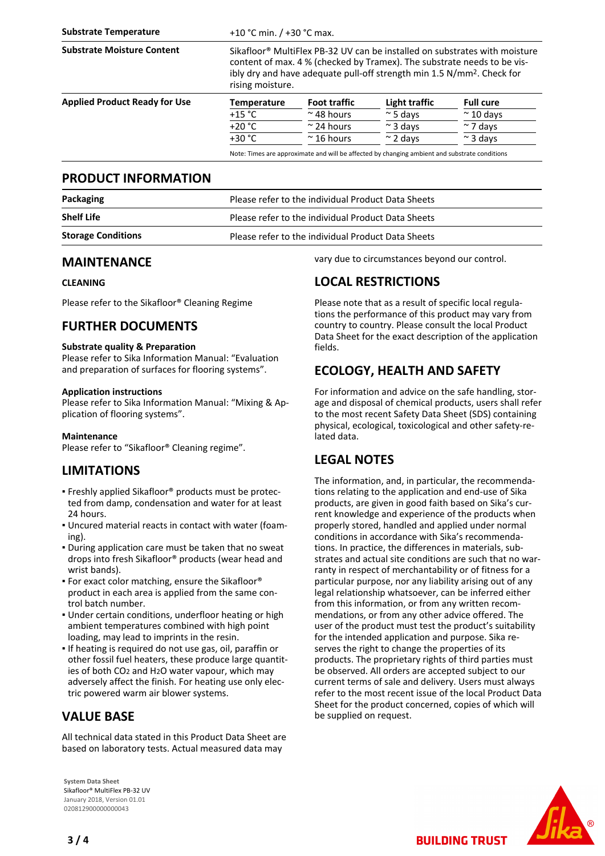| +10 °C min. $/$ +30 °C max.                                                                                                                                                                                                                                                 |                     |                  |                                                                                               |
|-----------------------------------------------------------------------------------------------------------------------------------------------------------------------------------------------------------------------------------------------------------------------------|---------------------|------------------|-----------------------------------------------------------------------------------------------|
| Sikafloor <sup>®</sup> MultiFlex PB-32 UV can be installed on substrates with moisture<br>content of max. 4 % (checked by Tramex). The substrate needs to be vis-<br>ibly dry and have adequate pull-off strength min 1.5 N/mm <sup>2</sup> . Check for<br>rising moisture. |                     |                  |                                                                                               |
| <b>Temperature</b>                                                                                                                                                                                                                                                          | <b>Foot traffic</b> | Light traffic    | <b>Full cure</b>                                                                              |
| $+15 °C$                                                                                                                                                                                                                                                                    | $\approx$ 48 hours  | $\approx$ 5 days | $\approx$ 10 days                                                                             |
| $+20 °C$                                                                                                                                                                                                                                                                    | $\approx$ 24 hours  | $\approx$ 3 days | $\approx$ 7 days                                                                              |
| $+30 °C$                                                                                                                                                                                                                                                                    | $\approx$ 16 hours  | $\sim$ 2 days    | $\approx$ 3 days                                                                              |
|                                                                                                                                                                                                                                                                             |                     |                  |                                                                                               |
|                                                                                                                                                                                                                                                                             |                     |                  | Note: Times are approximate and will be affected by changing ambient and substrate conditions |

#### **PRODUCT INFORMATION**

| Packaging                 | Please refer to the individual Product Data Sheets |  |
|---------------------------|----------------------------------------------------|--|
| <b>Shelf Life</b>         | Please refer to the individual Product Data Sheets |  |
| <b>Storage Conditions</b> | Please refer to the individual Product Data Sheets |  |

### **MAINTENANCE**

#### **CLEANING**

Please refer to the Sikafloor® Cleaning Regime

# **FURTHER DOCUMENTS**

#### **Substrate quality & Preparation**

Please refer to Sika Information Manual: "Evaluation and preparation of surfaces for flooring systems".

#### **Application instructions**

Please refer to Sika Information Manual: "Mixing & Application of flooring systems".

#### **Maintenance**

Please refer to "Sikafloor® Cleaning regime".

# **LIMITATIONS**

- Freshly applied Sikafloor® products must be protec-▪ ted from damp, condensation and water for at least 24 hours.
- Uncured material reacts in contact with water (foam-▪ ing).
- **.** During application care must be taken that no sweat drops into fresh Sikafloor® products (wear head and wrist bands).
- **For exact color matching, ensure the Sikafloor®** product in each area is applied from the same control batch number.
- Under certain conditions, underfloor heating or high ambient temperatures combined with high point loading, may lead to imprints in the resin.
- If heating is required do not use gas, oil, paraffin or other fossil fuel heaters, these produce large quantities of both CO2 and H2O water vapour, which may adversely affect the finish. For heating use only electric powered warm air blower systems.

# **VALUE BASE**

All technical data stated in this Product Data Sheet are based on laboratory tests. Actual measured data may

**System Data Sheet** Sikafloor® MultiFlex PB-32 UV January 2018, Version 01.01 020812900000000043

vary due to circumstances beyond our control.

### **LOCAL RESTRICTIONS**

Please note that as a result of specific local regulations the performance of this product may vary from country to country. Please consult the local Product Data Sheet for the exact description of the application fields.

# **ECOLOGY, HEALTH AND SAFETY**

For information and advice on the safe handling, storage and disposal of chemical products, users shall refer to the most recent Safety Data Sheet (SDS) containing physical, ecological, toxicological and other safety-related data.

# **LEGAL NOTES**

The information, and, in particular, the recommendations relating to the application and end-use of Sika products, are given in good faith based on Sika's current knowledge and experience of the products when properly stored, handled and applied under normal conditions in accordance with Sika's recommendations. In practice, the differences in materials, substrates and actual site conditions are such that no warranty in respect of merchantability or of fitness for a particular purpose, nor any liability arising out of any legal relationship whatsoever, can be inferred either from this information, or from any written recommendations, or from any other advice offered. The user of the product must test the product's suitability for the intended application and purpose. Sika reserves the right to change the properties of its products. The proprietary rights of third parties must be observed. All orders are accepted subject to our current terms of sale and delivery. Users must always refer to the most recent issue of the local Product Data Sheet for the product concerned, copies of which will be supplied on request.

**BUILDING TRUST**